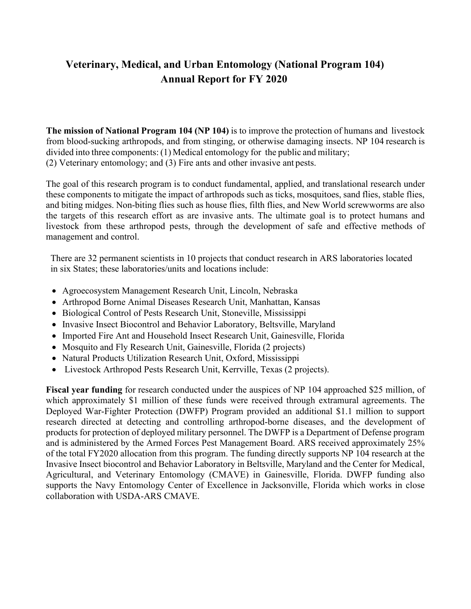# **Veterinary, Medical, and Urban Entomology (National Program 104) Annual Report for FY 2020**

**The mission of National Program 104 (NP 104)** is to improve the protection of humans and livestock from blood-sucking arthropods, and from stinging, or otherwise damaging insects. NP 104 research is divided into three components: (1) Medical entomology for the public and military; (2) Veterinary entomology; and (3) Fire ants and other invasive ant pests.

The goal of this research program is to conduct fundamental, applied, and translational research under these components to mitigate the impact of arthropods such as ticks, mosquitoes, sand flies, stable flies, and biting midges. Non-biting flies such as house flies, filth flies, and New World screwworms are also the targets of this research effort as are invasive ants. The ultimate goal is to protect humans and livestock from these arthropod pests, through the development of safe and effective methods of management and control.

There are 32 permanent scientists in 10 projects that conduct research in ARS laboratories located in six States; these laboratories/units and locations include:

- Agroecosystem Management Research Unit, Lincoln, Nebraska
- Arthropod Borne Animal Diseases Research Unit, Manhattan, Kansas
- Biological Control of Pests Research Unit, Stoneville, Mississippi
- Invasive Insect Biocontrol and Behavior Laboratory, Beltsville, Maryland
- Imported Fire Ant and Household Insect Research Unit, Gainesville, Florida
- Mosquito and Fly Research Unit, Gainesville, Florida (2 projects)
- Natural Products Utilization Research Unit, Oxford, Mississippi
- Livestock Arthropod Pests Research Unit, Kerrville, Texas (2 projects).

**Fiscal year funding** for research conducted under the auspices of NP 104 approached \$25 million, of which approximately \$1 million of these funds were received through extramural agreements. The Deployed War-Fighter Protection (DWFP) Program provided an additional \$1.1 million to support research directed at detecting and controlling arthropod-borne diseases, and the development of products for protection of deployed military personnel. The DWFP is a Department of Defense program and is administered by the Armed Forces Pest Management Board. ARS received approximately 25% of the total FY2020 allocation from this program. The funding directly supports NP 104 research at the Invasive Insect biocontrol and Behavior Laboratory in Beltsville, Maryland and the Center for Medical, Agricultural, and Veterinary Entomology (CMAVE) in Gainesville, Florida. DWFP funding also supports the Navy Entomology Center of Excellence in Jacksonville, Florida which works in close collaboration with USDA-ARS CMAVE.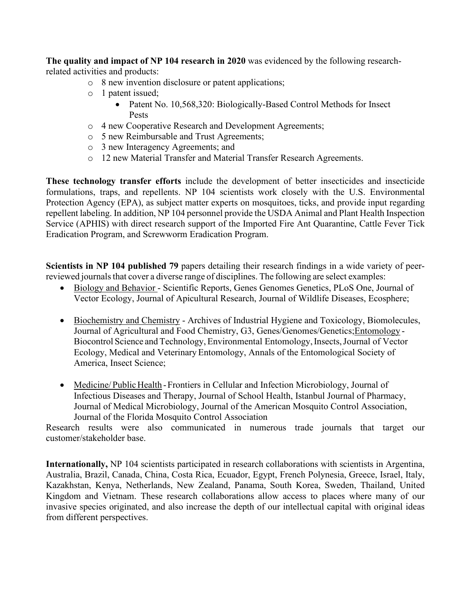**The quality and impact of NP 104 research in 2020** was evidenced by the following researchrelated activities and products:

- o 8 new invention disclosure or patent applications;
- o 1 patent issued;
	- Patent No. 10,568,320: Biologically-Based Control Methods for Insect Pests
- o 4 new Cooperative Research and Development Agreements;
- o 5 new Reimbursable and Trust Agreements;
- o 3 new Interagency Agreements; and
- o 12 new Material Transfer and Material Transfer Research Agreements.

**These technology transfer efforts** include the development of better insecticides and insecticide formulations, traps, and repellents. NP 104 scientists work closely with the U.S. Environmental Protection Agency (EPA), as subject matter experts on mosquitoes, ticks, and provide input regarding repellent labeling. In addition, NP 104 personnel provide the USDA Animal and Plant Health Inspection Service (APHIS) with direct research support of the Imported Fire Ant Quarantine, Cattle Fever Tick Eradication Program, and Screwworm Eradication Program.

**Scientists in NP 104 published 79** papers detailing their research findings in a wide variety of peerreviewed journals that cover a diverse range of disciplines. The following are select examples:

- Biology and Behavior Scientific Reports, Genes Genomes Genetics, PLoS One, Journal of Vector Ecology, Journal of Apicultural Research, Journal of Wildlife Diseases, Ecosphere;
- Biochemistry and Chemistry Archives of Industrial Hygiene and Toxicology, Biomolecules, Journal of Agricultural and Food Chemistry, G3, Genes/Genomes/Genetics;Entomology - Biocontrol Science and Technology, Environmental Entomology,Insects,Journal of Vector Ecology, Medical and Veterinary Entomology, Annals of the Entomological Society of America, Insect Science;
- Medicine/Public Health Frontiers in Cellular and Infection Microbiology, Journal of Infectious Diseases and Therapy, Journal of School Health, Istanbul Journal of Pharmacy, Journal of Medical Microbiology, Journal of the American Mosquito Control Association, Journal of the Florida Mosquito Control Association

Research results were also communicated in numerous trade journals that target our customer/stakeholder base.

**Internationally,** NP 104 scientists participated in research collaborations with scientists in Argentina, Australia, Brazil, Canada, China, Costa Rica, Ecuador, Egypt, French Polynesia, Greece, Israel, Italy, Kazakhstan, Kenya, Netherlands, New Zealand, Panama, South Korea, Sweden, Thailand, United Kingdom and Vietnam. These research collaborations allow access to places where many of our invasive species originated, and also increase the depth of our intellectual capital with original ideas from different perspectives.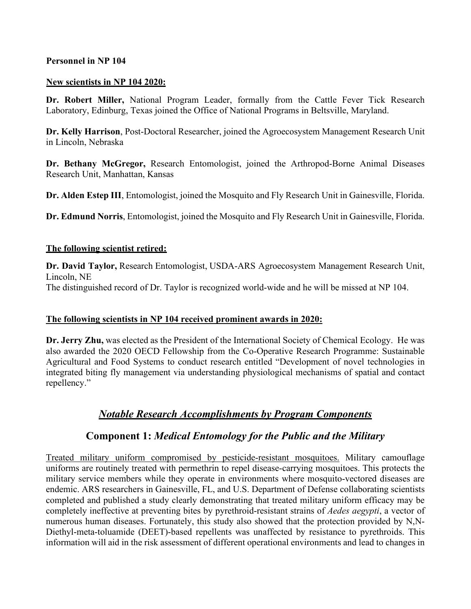#### **Personnel in NP 104**

#### **New scientists in NP 104 2020:**

**Dr. Robert Miller,** National Program Leader, formally from the Cattle Fever Tick Research Laboratory, Edinburg, Texas joined the Office of National Programs in Beltsville, Maryland.

**Dr. Kelly Harrison**, Post-Doctoral Researcher, joined the Agroecosystem Management Research Unit in Lincoln, Nebraska

**Dr. Bethany McGregor,** Research Entomologist, joined the Arthropod-Borne Animal Diseases Research Unit, Manhattan, Kansas

**Dr. Alden Estep III**, Entomologist, joined the Mosquito and Fly Research Unit in Gainesville, Florida.

**Dr. Edmund Norris**, Entomologist, joined the Mosquito and Fly Research Unit in Gainesville, Florida.

#### **The following scientist retired:**

**Dr. David Taylor,** Research Entomologist, USDA-ARS Agroecosystem Management Research Unit, Lincoln, NE The distinguished record of Dr. Taylor is recognized world-wide and he will be missed at NP 104.

#### **The following scientists in NP 104 received prominent awards in 2020:**

**Dr. Jerry Zhu,** was elected as the President of the International Society of Chemical Ecology. He was also awarded the 2020 OECD Fellowship from the Co-Operative Research Programme: Sustainable Agricultural and Food Systems to conduct research entitled "Development of novel technologies in integrated biting fly management via understanding physiological mechanisms of spatial and contact repellency."

## *Notable Research Accomplishments by Program Components*

## **Component 1:** *Medical Entomology for the Public and the Military*

Treated military uniform compromised by pesticide-resistant mosquitoes. Military camouflage uniforms are routinely treated with permethrin to repel disease-carrying mosquitoes. This protects the military service members while they operate in environments where mosquito-vectored diseases are endemic. ARS researchers in Gainesville, FL, and U.S. Department of Defense collaborating scientists completed and published a study clearly demonstrating that treated military uniform efficacy may be completely ineffective at preventing bites by pyrethroid-resistant strains of *Aedes aegypti*, a vector of numerous human diseases. Fortunately, this study also showed that the protection provided by N,N-Diethyl-meta-toluamide (DEET)-based repellents was unaffected by resistance to pyrethroids. This information will aid in the risk assessment of different operational environments and lead to changes in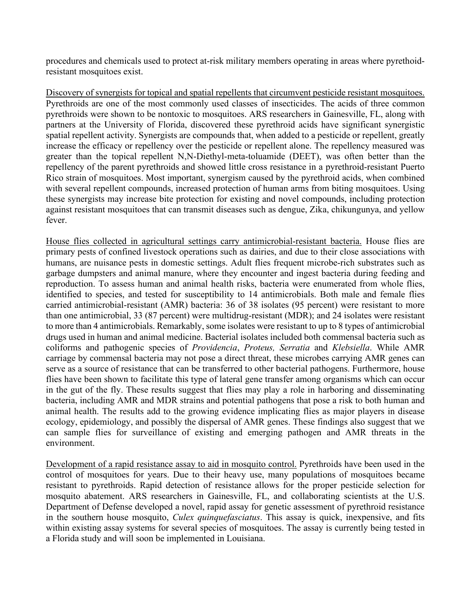procedures and chemicals used to protect at-risk military members operating in areas where pyrethoidresistant mosquitoes exist.

Discovery of synergists for topical and spatial repellents that circumvent pesticide resistant mosquitoes. Pyrethroids are one of the most commonly used classes of insecticides. The acids of three common pyrethroids were shown to be nontoxic to mosquitoes. ARS researchers in Gainesville, FL, along with partners at the University of Florida, discovered these pyrethroid acids have significant synergistic spatial repellent activity. Synergists are compounds that, when added to a pesticide or repellent, greatly increase the efficacy or repellency over the pesticide or repellent alone. The repellency measured was greater than the topical repellent N,N-Diethyl-meta-toluamide (DEET), was often better than the repellency of the parent pyrethroids and showed little cross resistance in a pyrethroid-resistant Puerto Rico strain of mosquitoes. Most important, synergism caused by the pyrethroid acids, when combined with several repellent compounds, increased protection of human arms from biting mosquitoes. Using these synergists may increase bite protection for existing and novel compounds, including protection against resistant mosquitoes that can transmit diseases such as dengue, Zika, chikungunya, and yellow fever.

House flies collected in agricultural settings carry antimicrobial-resistant bacteria. House flies are primary pests of confined livestock operations such as dairies, and due to their close associations with humans, are nuisance pests in domestic settings. Adult flies frequent microbe-rich substrates such as garbage dumpsters and animal manure, where they encounter and ingest bacteria during feeding and reproduction. To assess human and animal health risks, bacteria were enumerated from whole flies, identified to species, and tested for susceptibility to 14 antimicrobials. Both male and female flies carried antimicrobial-resistant (AMR) bacteria: 36 of 38 isolates (95 percent) were resistant to more than one antimicrobial, 33 (87 percent) were multidrug-resistant (MDR); and 24 isolates were resistant to more than 4 antimicrobials. Remarkably, some isolates were resistant to up to 8 types of antimicrobial drugs used in human and animal medicine. Bacterial isolates included both commensal bacteria such as coliforms and pathogenic species of *Providencia*, *Proteus, Serratia* and *Klebsiella*. While AMR carriage by commensal bacteria may not pose a direct threat, these microbes carrying AMR genes can serve as a source of resistance that can be transferred to other bacterial pathogens. Furthermore, house flies have been shown to facilitate this type of lateral gene transfer among organisms which can occur in the gut of the fly. These results suggest that flies may play a role in harboring and disseminating bacteria, including AMR and MDR strains and potential pathogens that pose a risk to both human and animal health. The results add to the growing evidence implicating flies as major players in disease ecology, epidemiology, and possibly the dispersal of AMR genes. These findings also suggest that we can sample flies for surveillance of existing and emerging pathogen and AMR threats in the environment.

Development of a rapid resistance assay to aid in mosquito control. Pyrethroids have been used in the control of mosquitoes for years. Due to their heavy use, many populations of mosquitoes became resistant to pyrethroids. Rapid detection of resistance allows for the proper pesticide selection for mosquito abatement. ARS researchers in Gainesville, FL, and collaborating scientists at the U.S. Department of Defense developed a novel, rapid assay for genetic assessment of pyrethroid resistance in the southern house mosquito, *Culex quinquefasciatus*. This assay is quick, inexpensive, and fits within existing assay systems for several species of mosquitoes. The assay is currently being tested in a Florida study and will soon be implemented in Louisiana.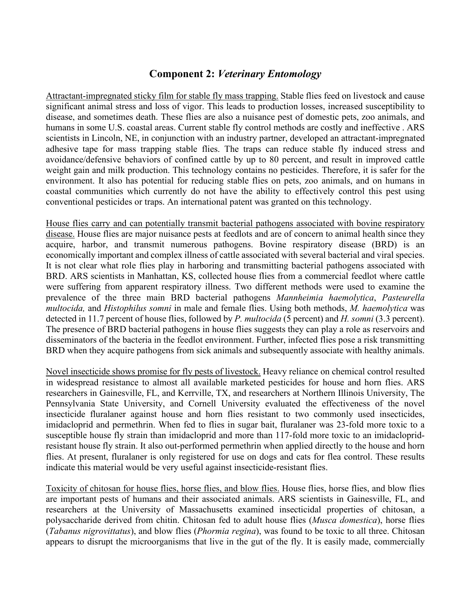### **Component 2:** *Veterinary Entomology*

Attractant-impregnated sticky film for stable fly mass trapping. Stable flies feed on livestock and cause significant animal stress and loss of vigor. This leads to production losses, increased susceptibility to disease, and sometimes death. These flies are also a nuisance pest of domestic pets, zoo animals, and humans in some U.S. coastal areas. Current stable fly control methods are costly and ineffective . ARS scientists in Lincoln, NE, in conjunction with an industry partner, developed an attractant-impregnated adhesive tape for mass trapping stable flies. The traps can reduce stable fly induced stress and avoidance/defensive behaviors of confined cattle by up to 80 percent, and result in improved cattle weight gain and milk production. This technology contains no pesticides. Therefore, it is safer for the environment. It also has potential for reducing stable flies on pets, zoo animals, and on humans in coastal communities which currently do not have the ability to effectively control this pest using conventional pesticides or traps. An international patent was granted on this technology.

House flies carry and can potentially transmit bacterial pathogens associated with bovine respiratory disease. House flies are major nuisance pests at feedlots and are of concern to animal health since they acquire, harbor, and transmit numerous pathogens. Bovine respiratory disease (BRD) is an economically important and complex illness of cattle associated with several bacterial and viral species. It is not clear what role flies play in harboring and transmitting bacterial pathogens associated with BRD. ARS scientists in Manhattan, KS, collected house flies from a commercial feedlot where cattle were suffering from apparent respiratory illness. Two different methods were used to examine the prevalence of the three main BRD bacterial pathogens *Mannheimia haemolytica*, *Pasteurella multocida,* and *Histophilus somni* in male and female flies. Using both methods, *M. haemolytica* was detected in 11.7 percent of house flies, followed by *P. multocida* (5 percent) and *H. somni* (3.3 percent). The presence of BRD bacterial pathogens in house flies suggests they can play a role as reservoirs and disseminators of the bacteria in the feedlot environment. Further, infected flies pose a risk transmitting BRD when they acquire pathogens from sick animals and subsequently associate with healthy animals.

Novel insecticide shows promise for fly pests of livestock. Heavy reliance on chemical control resulted in widespread resistance to almost all available marketed pesticides for house and horn flies. ARS researchers in Gainesville, FL, and Kerrville, TX, and researchers at Northern Illinois University, The Pennsylvania State University, and Cornell University evaluated the effectiveness of the novel insecticide fluralaner against house and horn flies resistant to two commonly used insecticides, imidacloprid and permethrin. When fed to flies in sugar bait, fluralaner was 23-fold more toxic to a susceptible house fly strain than imidacloprid and more than 117-fold more toxic to an imidaclopridresistant house fly strain. It also out-performed permethrin when applied directly to the house and horn flies. At present, fluralaner is only registered for use on dogs and cats for flea control. These results indicate this material would be very useful against insecticide-resistant flies.

Toxicity of chitosan for house flies, horse flies, and blow flies. House flies, horse flies, and blow flies are important pests of humans and their associated animals. ARS scientists in Gainesville, FL, and researchers at the University of Massachusetts examined insecticidal properties of chitosan, a polysaccharide derived from chitin. Chitosan fed to adult house flies (*Musca domestica*), horse flies (*Tabanus nigrovittatus*), and blow flies (*Phormia regina*), was found to be toxic to all three. Chitosan appears to disrupt the microorganisms that live in the gut of the fly. It is easily made, commercially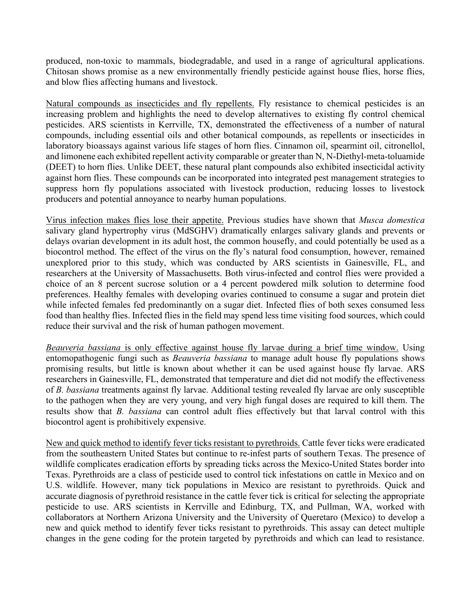produced, non-toxic to mammals, biodegradable, and used in a range of agricultural applications. Chitosan shows promise as a new environmentally friendly pesticide against house flies, horse flies, and blow flies affecting humans and livestock.

Natural compounds as insecticides and fly repellents. Fly resistance to chemical pesticides is an increasing problem and highlights the need to develop alternatives to existing fly control chemical pesticides. ARS scientists in Kerrville, TX, demonstrated the effectiveness of a number of natural compounds, including essential oils and other botanical compounds, as repellents or insecticides in laboratory bioassays against various life stages of horn flies. Cinnamon oil, spearmint oil, citronellol, and limonene each exhibited repellent activity comparable or greater than N, N-Diethyl-meta-toluamide (DEET) to horn flies. Unlike DEET, these natural plant compounds also exhibited insecticidal activity against horn flies. These compounds can be incorporated into integrated pest management strategies to suppress horn fly populations associated with livestock production, reducing losses to livestock producers and potential annoyance to nearby human populations.

Virus infection makes flies lose their appetite. Previous studies have shown that *Musca domestica* salivary gland hypertrophy virus (MdSGHV) dramatically enlarges salivary glands and prevents or delays ovarian development in its adult host, the common housefly, and could potentially be used as a biocontrol method. The effect of the virus on the fly's natural food consumption, however, remained unexplored prior to this study, which was conducted by ARS scientists in Gainesville, FL, and researchers at the University of Massachusetts. Both virus-infected and control flies were provided a choice of an 8 percent sucrose solution or a 4 percent powdered milk solution to determine food preferences. Healthy females with developing ovaries continued to consume a sugar and protein diet while infected females fed predominantly on a sugar diet. Infected flies of both sexes consumed less food than healthy flies. Infected flies in the field may spend less time visiting food sources, which could reduce their survival and the risk of human pathogen movement.

*Beauveria bassiana* is only effective against house fly larvae during a brief time window. Using entomopathogenic fungi such as *Beauveria bassiana* to manage adult house fly populations shows promising results, but little is known about whether it can be used against house fly larvae. ARS researchers in Gainesville, FL, demonstrated that temperature and diet did not modify the effectiveness of *B. bassiana* treatments against fly larvae. Additional testing revealed fly larvae are only susceptible to the pathogen when they are very young, and very high fungal doses are required to kill them. The results show that *B. bassiana* can control adult flies effectively but that larval control with this biocontrol agent is prohibitively expensive.

New and quick method to identify fever ticks resistant to pyrethroids. Cattle fever ticks were eradicated from the southeastern United States but continue to re-infest parts of southern Texas. The presence of wildlife complicates eradication efforts by spreading ticks across the Mexico-United States border into Texas. Pyrethroids are a class of pesticide used to control tick infestations on cattle in Mexico and on U.S. wildlife. However, many tick populations in Mexico are resistant to pyrethroids. Quick and accurate diagnosis of pyrethroid resistance in the cattle fever tick is critical for selecting the appropriate pesticide to use. ARS scientists in Kerrville and Edinburg, TX, and Pullman, WA, worked with collaborators at Northern Arizona University and the University of Queretaro (Mexico) to develop a new and quick method to identify fever ticks resistant to pyrethroids. This assay can detect multiple changes in the gene coding for the protein targeted by pyrethroids and which can lead to resistance.